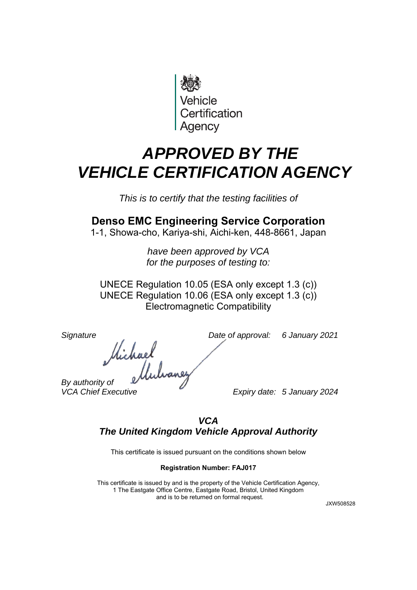

## *APPROVED BY THE VEHICLE CERTIFICATION AGENCY*

*This is to certify that the testing facilities of* 

## **Denso EMC Engineering Service Corporation**

1-1, Showa-cho, Kariya-shi, Aichi-ken, 448-8661, Japan

*have been approved by VCA for the purposes of testing to:* 

UNECE Regulation 10.05 (ESA only except 1.3 (c)) UNECE Regulation 10.06 (ESA only except 1.3 (c)) Electromagnetic Compatibility

*Signature Date of approval: 6 January 2021* 

*Hichael*<br>By authority of elfuluance

*VCA Chief Executive Expiry date: 5 January 2024* 

## *VCA The United Kingdom Vehicle Approval Authority*

This certificate is issued pursuant on the conditions shown below

## **Registration Number: FAJ017**

This certificate is issued by and is the property of the Vehicle Certification Agency, 1 The Eastgate Office Centre, Eastgate Road, Bristol, United Kingdom and is to be returned on formal request.

JXW508528